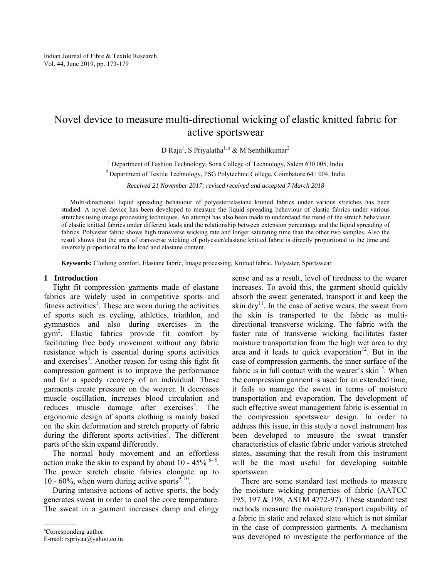# Novel device to measure multi-directional wicking of elastic knitted fabric for active sportswear

D Raja<sup>1</sup>, S Priyalatha<sup>1, a</sup> & M Senthilkumar<sup>2</sup>

<sup>1</sup> Department of Fashion Technology, Sona College of Technology, Salem 630 005, India

2 Department of Textile Technology, PSG Polytechnic College, Coimbatore 641 004, India

*Received 21 November 2017; revised received and accepted 7 March 2018* 

Multi-directional liquid spreading behaviour of polyester/elastane knitted fabrics under various stretches has been studied. A novel device has been developed to measure the liquid spreading behaviour of elastic fabrics under various stretches using image processing techniques. An attempt has also been made to understand the trend of the stretch behaviour of elastic knitted fabrics under different loads and the relationship between extension percentage and the liquid spreading of fabrics. Polyester fabric shows high transverse wicking rate and longer saturating time than the other two samples. Also the result shows that the area of transverse wicking of polyester/elastane knitted fabric is directly proportional to the time and inversely proportional to the load and elastane content.

**Keywords:** Clothing comfort, Elastane fabric, Image processing, Knitted fabric, Polyester, Sportswear

## **1 Introduction**

Tight fit compression garments made of elastane fabrics are widely used in competitive sports and fitness activities<sup>1</sup>. These are worn during the activities of sports such as cycling, athletics, triathlon, and gymnastics and also during exercises in the gym2 . Elastic fabrics provide fit comfort by facilitating free body movement without any fabric resistance which is essential during sports activities and exercises<sup>3</sup>. Another reason for using this tight fit compression garment is to improve the performance and for a speedy recovery of an individual. These garments create pressure on the wearer. It decreases muscle oscillation, increases blood circulation and reduces muscle damage after exercises<sup>4</sup>. The ergonomic design of sports clothing is mainly based on the skin deformation and stretch property of fabric during the different sports activities<sup>5</sup>. The different parts of the skin expand differently.

The normal body movement and an effortless action make the skin to expand by about  $10 - 45\%$  <sup>6-8</sup>. The power stretch elastic fabrics elongate up to 10 - 60%, when worn during active sports<sup>9, 10</sup>.

During intensive actions of active sports, the body generates sweat in order to cool the core temperature. The sweat in a garment increases damp and clingy

sense and as a result, level of tiredness to the wearer increases. To avoid this, the garment should quickly absorb the sweat generated, transport it and keep the skin  $\text{drv}^{11}$ . In the case of active wears, the sweat from the skin is transported to the fabric as multidirectional transverse wicking. The fabric with the faster rate of transverse wicking facilitates faster moisture transportation from the high wet area to dry area and it leads to quick evaporation<sup>12</sup>. But in the case of compression garments, the inner surface of the fabric is in full contact with the wearer's  $\sin^{13}$ . When the compression garment is used for an extended time, it fails to manage the sweat in terms of moisture transportation and evaporation. The development of such effective sweat management fabric is essential in the compression sportswear design. In order to address this issue, in this study a novel instrument has been developed to measure the sweat transfer characteristics of elastic fabric under various stretched states, assuming that the result from this instrument will be the most useful for developing suitable sportswear.

There are some standard test methods to measure the moisture wicking properties of fabric (AATCC 195, 197 & 198; ASTM 4772-97). These standard test methods measure the moisture transport capability of a fabric in static and relaxed state which is not similar in the case of compression garments. A mechanism was developed to investigate the performance of the

<sup>————</sup> a Corresponding author.

E-mail: rspriyaa@yahoo.co.in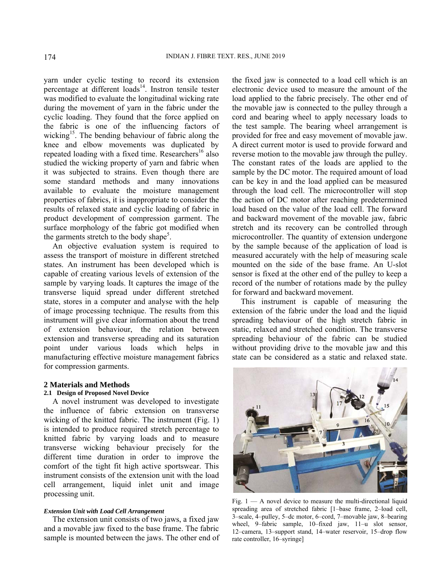yarn under cyclic testing to record its extension percentage at different  $\log 14$ . Instron tensile tester was modified to evaluate the longitudinal wicking rate during the movement of yarn in the fabric under the cyclic loading. They found that the force applied on the fabric is one of the influencing factors of wicking<sup>15</sup>. The bending behaviour of fabric along the knee and elbow movements was duplicated by repeated loading with a fixed time. Researchers<sup>16</sup> also studied the wicking property of yarn and fabric when it was subjected to strains. Even though there are some standard methods and many innovations available to evaluate the moisture management properties of fabrics, it is inappropriate to consider the results of relaxed state and cyclic loading of fabric in product development of compression garment. The surface morphology of the fabric got modified when the garments stretch to the body shape<sup>5</sup>.

An objective evaluation system is required to assess the transport of moisture in different stretched states. An instrument has been developed which is capable of creating various levels of extension of the sample by varying loads. It captures the image of the transverse liquid spread under different stretched state, stores in a computer and analyse with the help of image processing technique. The results from this instrument will give clear information about the trend of extension behaviour, the relation between extension and transverse spreading and its saturation point under various loads which helps in manufacturing effective moisture management fabrics for compression garments.

# **2 Materials and Methods**

# **2.1 Design of Proposed Novel Device**

A novel instrument was developed to investigate the influence of fabric extension on transverse wicking of the knitted fabric. The instrument (Fig. 1) is intended to produce required stretch percentage to knitted fabric by varying loads and to measure transverse wicking behaviour precisely for the different time duration in order to improve the comfort of the tight fit high active sportswear. This instrument consists of the extension unit with the load cell arrangement, liquid inlet unit and image processing unit.

#### *Extension Unit with Load Cell Arrangement*

The extension unit consists of two jaws, a fixed jaw and a movable jaw fixed to the base frame. The fabric sample is mounted between the jaws. The other end of the fixed jaw is connected to a load cell which is an electronic device used to measure the amount of the load applied to the fabric precisely. The other end of the movable jaw is connected to the pulley through a cord and bearing wheel to apply necessary loads to the test sample. The bearing wheel arrangement is provided for free and easy movement of movable jaw. A direct current motor is used to provide forward and reverse motion to the movable jaw through the pulley. The constant rates of the loads are applied to the sample by the DC motor. The required amount of load can be key in and the load applied can be measured through the load cell. The microcontroller will stop the action of DC motor after reaching predetermined load based on the value of the load cell. The forward and backward movement of the movable jaw, fabric stretch and its recovery can be controlled through microcontroller. The quantity of extension undergone by the sample because of the application of load is measured accurately with the help of measuring scale mounted on the side of the base frame. An U-slot sensor is fixed at the other end of the pulley to keep a record of the number of rotations made by the pulley for forward and backward movement.

This instrument is capable of measuring the extension of the fabric under the load and the liquid spreading behaviour of the high stretch fabric in static, relaxed and stretched condition. The transverse spreading behaviour of the fabric can be studied without providing drive to the movable jaw and this state can be considered as a static and relaxed state.



Fig.  $1 - A$  novel device to measure the multi-directional liquid spreading area of stretched fabric [1–base frame, 2–load cell, 3–scale, 4–pulley, 5–dc motor, 6–cord, 7–movable jaw, 8–bearing wheel, 9–fabric sample, 10–fixed jaw, 11–u slot sensor, 12–camera, 13–support stand, 14–water reservoir, 15–drop flow rate controller, 16–syringe]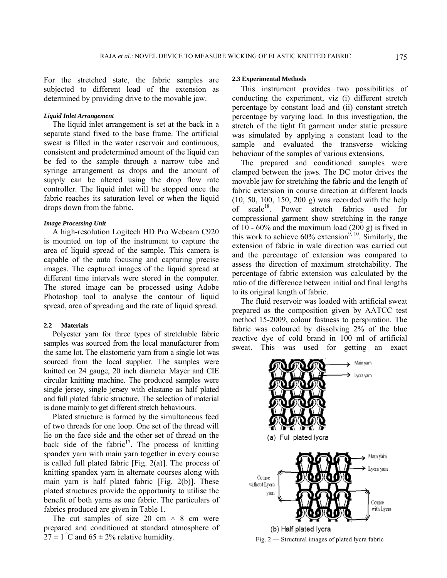For the stretched state, the fabric samples are subjected to different load of the extension as determined by providing drive to the movable jaw.

# *Liquid Inlet Arrangement*

The liquid inlet arrangement is set at the back in a separate stand fixed to the base frame. The artificial sweat is filled in the water reservoir and continuous, consistent and predetermined amount of the liquid can be fed to the sample through a narrow tube and syringe arrangement as drops and the amount of supply can be altered using the drop flow rate controller. The liquid inlet will be stopped once the fabric reaches its saturation level or when the liquid drops down from the fabric.

#### *Image Processing Unit*

A high-resolution Logitech HD Pro Webcam C920 is mounted on top of the instrument to capture the area of liquid spread of the sample. This camera is capable of the auto focusing and capturing precise images. The captured images of the liquid spread at different time intervals were stored in the computer. The stored image can be processed using Adobe Photoshop tool to analyse the contour of liquid spread, area of spreading and the rate of liquid spread.

#### **2.2 Materials**

Polyester yarn for three types of stretchable fabric samples was sourced from the local manufacturer from the same lot. The elastomeric yarn from a single lot was sourced from the local supplier. The samples were knitted on 24 gauge, 20 inch diameter Mayer and CIE circular knitting machine. The produced samples were single jersey, single jersey with elastane as half plated and full plated fabric structure. The selection of material is done mainly to get different stretch behaviours.

Plated structure is formed by the simultaneous feed of two threads for one loop. One set of the thread will lie on the face side and the other set of thread on the back side of the fabric<sup>17</sup>. The process of knitting spandex yarn with main yarn together in every course is called full plated fabric  $[Fig. 2(a)]$ . The process of knitting spandex yarn in alternate courses along with main yarn is half plated fabric [Fig. 2(b)]. These plated structures provide the opportunity to utilise the benefit of both yarns as one fabric. The particulars of fabrics produced are given in Table 1.

The cut samples of size 20 cm  $\times$  8 cm were prepared and conditioned at standard atmosphere of  $27 \pm 1$  °C and 65  $\pm$  2% relative humidity.

#### **2.3 Experimental Methods**

This instrument provides two possibilities of conducting the experiment, viz (i) different stretch percentage by constant load and (ii) constant stretch percentage by varying load. In this investigation, the stretch of the tight fit garment under static pressure was simulated by applying a constant load to the sample and evaluated the transverse wicking behaviour of the samples of various extensions.

The prepared and conditioned samples were clamped between the jaws. The DC motor drives the movable jaw for stretching the fabric and the length of fabric extension in course direction at different loads (10, 50, 100, 150, 200 g) was recorded with the help of scale<sup>18</sup>. Power stretch fabrics used for compressional garment show stretching in the range of 10 -  $60\%$  and the maximum load  $(200 \text{ g})$  is fixed in this work to achieve  $60\%$  extension<sup>9, 10</sup>. Similarly, the extension of fabric in wale direction was carried out and the percentage of extension was compared to assess the direction of maximum stretchability. The percentage of fabric extension was calculated by the ratio of the difference between initial and final lengths to its original length of fabric.

The fluid reservoir was loaded with artificial sweat prepared as the composition given by AATCC test method 15-2009, colour fastness to perspiration. The fabric was coloured by dissolving 2% of the blue reactive dye of cold brand in 100 ml of artificial sweat. This was used for getting an exact

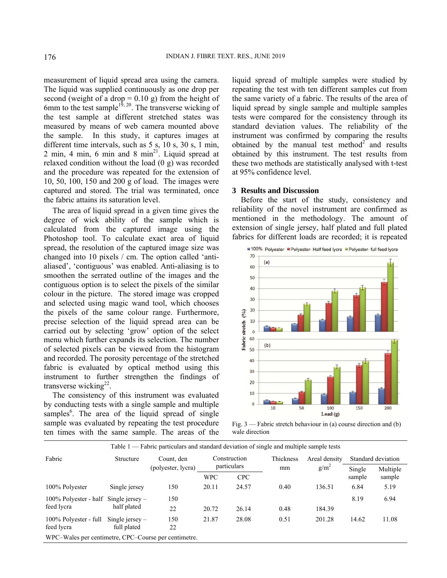measurement of liquid spread area using the camera. The liquid was supplied continuously as one drop per second (weight of a drop  $= 0.10$  g) from the height of 6mm to the test sample<sup>19, 20</sup>. The transverse wicking of the test sample at different stretched states was measured by means of web camera mounted above the sample. In this study, it captures images at different time intervals, such as 5 s, 10 s, 30 s, 1 min,  $2$  min,  $4$  min,  $6$  min and  $8$  min<sup>21</sup>. Liquid spread at relaxed condition without the load (0 g) was recorded and the procedure was repeated for the extension of 10, 50, 100, 150 and 200 g of load. The images were captured and stored. The trial was terminated, once the fabric attains its saturation level.

The area of liquid spread in a given time gives the degree of wick ability of the sample which is calculated from the captured image using the Photoshop tool. To calculate exact area of liquid spread, the resolution of the captured image size was changed into 10 pixels / cm. The option called 'antialiased', 'contiguous' was enabled. Anti-aliasing is to smoothen the serrated outline of the images and the contiguous option is to select the pixels of the similar colour in the picture. The stored image was cropped and selected using magic wand tool, which chooses the pixels of the same colour range. Furthermore, precise selection of the liquid spread area can be carried out by selecting 'grow' option of the select menu which further expands its selection. The number of selected pixels can be viewed from the histogram and recorded. The porosity percentage of the stretched fabric is evaluated by optical method using this instrument to further strengthen the findings of transverse wicking $^{22}$ .

The consistency of this instrument was evaluated by conducting tests with a single sample and multiple samples<sup>6</sup>. The area of the liquid spread of single sample was evaluated by repeating the test procedure ten times with the same sample. The areas of the

liquid spread of multiple samples were studied by repeating the test with ten different samples cut from the same variety of a fabric. The results of the area of liquid spread by single sample and multiple samples tests were compared for the consistency through its standard deviation values. The reliability of the instrument was confirmed by comparing the results obtained by the manual test method<sup>2</sup> and results obtained by this instrument. The test results from these two methods are statistically analysed with t-test at 95% confidence level.

#### **3 Results and Discussion**

Before the start of the study, consistency and reliability of the novel instrument are confirmed as mentioned in the methodology. The amount of extension of single jersey, half plated and full plated fabrics for different loads are recorded; it is repeated



Fig. 3 — Fabric stretch behaviour in (a) course direction and (b) wale direction

|                                                      |                                  | Table 1 — Fabric particulars and standard deviation of single and multiple sample tests |                             |            |                 |                                   |                    |          |
|------------------------------------------------------|----------------------------------|-----------------------------------------------------------------------------------------|-----------------------------|------------|-----------------|-----------------------------------|--------------------|----------|
| Fabric                                               | Structure                        | Count, den<br>(polyester, lycra)                                                        | Construction<br>particulars |            | Thickness<br>mm | Areal density<br>g/m <sup>2</sup> | Standard deviation |          |
|                                                      |                                  |                                                                                         |                             |            |                 |                                   | Single             | Multiple |
|                                                      |                                  |                                                                                         | <b>WPC</b>                  | <b>CPC</b> |                 |                                   | sample             | sample   |
| 100% Polyester                                       | Single jersey                    | 150                                                                                     | 20.11                       | 24.57      | 0.40            | 136.51                            | 6.84               | 5.19     |
| 100% Polyester - half<br>feed lycra                  | Single jersey $-$<br>half plated | 150                                                                                     |                             |            |                 |                                   | 8.19               | 6.94     |
|                                                      |                                  | 22                                                                                      | 20.72                       | 26.14      | 0.48            | 184.39                            |                    |          |
| 100% Polyester - full<br>feed lycra                  | Single jersey $-$<br>full plated | 150                                                                                     | 21.87                       | 28.08      | 0.51            | 201.28                            | 14.62              | 11.08    |
|                                                      |                                  | 22                                                                                      |                             |            |                 |                                   |                    |          |
| WPC-Wales per centimetre, CPC-Course per centimetre. |                                  |                                                                                         |                             |            |                 |                                   |                    |          |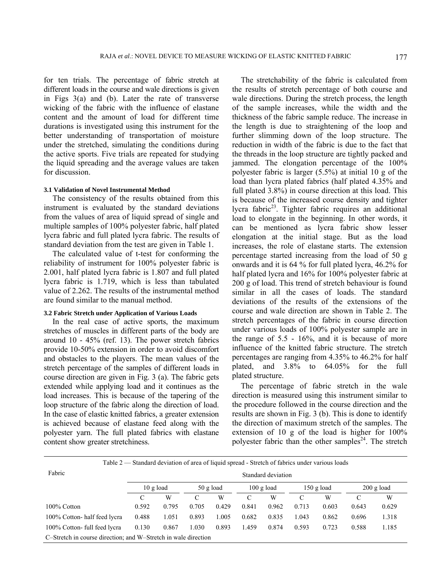for ten trials. The percentage of fabric stretch at different loads in the course and wale directions is given in Figs 3(a) and (b). Later the rate of transverse wicking of the fabric with the influence of elastane content and the amount of load for different time durations is investigated using this instrument for the better understanding of transportation of moisture under the stretched, simulating the conditions during the active sports. Five trials are repeated for studying the liquid spreading and the average values are taken for discussion.

## **3.1 Validation of Novel Instrumental Method**

The consistency of the results obtained from this instrument is evaluated by the standard deviations from the values of area of liquid spread of single and multiple samples of 100% polyester fabric, half plated lycra fabric and full plated lycra fabric. The results of standard deviation from the test are given in Table 1.

The calculated value of t-test for conforming the reliability of instrument for 100% polyester fabric is 2.001, half plated lycra fabric is 1.807 and full plated lycra fabric is 1.719, which is less than tabulated value of 2.262. The results of the instrumental method are found similar to the manual method.

## **3.2 Fabric Stretch under Application of Various Loads**

In the real case of active sports, the maximum stretches of muscles in different parts of the body are around 10 - 45% (ref. 13). The power stretch fabrics provide 10-50% extension in order to avoid discomfort and obstacles to the players. The mean values of the stretch percentage of the samples of different loads in course direction are given in Fig. 3 (a). The fabric gets extended while applying load and it continues as the load increases. This is because of the tapering of the loop structure of the fabric along the direction of load. In the case of elastic knitted fabrics, a greater extension is achieved because of elastane feed along with the polyester yarn. The full plated fabrics with elastane content show greater stretchiness.

The stretchability of the fabric is calculated from the results of stretch percentage of both course and wale directions. During the stretch process, the length of the sample increases, while the width and the thickness of the fabric sample reduce. The increase in the length is due to straightening of the loop and further slimming down of the loop structure. The reduction in width of the fabric is due to the fact that the threads in the loop structure are tightly packed and jammed. The elongation percentage of the 100% polyester fabric is larger (5.5%) at initial 10 g of the load than lycra plated fabrics (half plated 4.35% and full plated 3.8%) in course direction at this load. This is because of the increased course density and tighter lycra fabric<sup>23</sup>. Tighter fabric requires an additional load to elongate in the beginning. In other words, it can be mentioned as lycra fabric show lesser elongation at the initial stage. But as the load increases, the role of elastane starts. The extension percentage started increasing from the load of 50 g onwards and it is 64 % for full plated lycra, 46.2% for half plated lycra and 16% for 100% polyester fabric at 200 g of load. This trend of stretch behaviour is found similar in all the cases of loads. The standard deviations of the results of the extensions of the course and wale direction are shown in Table 2. The stretch percentages of the fabric in course direction under various loads of 100% polyester sample are in the range of  $5.5 - 16\%$ , and it is because of more influence of the knitted fabric structure. The stretch percentages are ranging from 4.35% to 46.2% for half plated, and 3.8% to 64.05% for the full plated structure.

The percentage of fabric stretch in the wale direction is measured using this instrument similar to the procedure followed in the course direction and the results are shown in Fig. 3 (b). This is done to identify the direction of maximum stretch of the samples. The extension of 10 g of the load is higher for 100% polyester fabric than the other samples<sup>24</sup>. The stretch

Table 2 — Standard deviation of area of liquid spread - Stretch of fabrics under various loads

| Fabric                                                         | Standard deviation  |       |             |       |                      |       |              |       |                      |       |  |
|----------------------------------------------------------------|---------------------|-------|-------------|-------|----------------------|-------|--------------|-------|----------------------|-------|--|
|                                                                | $10 \text{ g load}$ |       | $50$ g load |       | $100 \text{ g load}$ |       | $150$ g load |       | $200 \text{ g load}$ |       |  |
|                                                                |                     | W     |             | W     | C                    | W     |              | W     |                      | W     |  |
| 100% Cotton                                                    | 0.592               | 0.795 | 0.705       | 0.429 | 0.841                | 0.962 | 0.713        | 0.603 | 0.643                | 0.629 |  |
| 100% Cotton-half feed lycra                                    | 0.488               | 1.051 | 0.893       | 1.005 | 0.682                | 0.835 | 1.043        | 0.862 | 0.696                | 1.318 |  |
| 100% Cotton- full feed lycra                                   | 0.130               | 0.867 | 1.030       | 0.893 | 1.459                | 0.874 | 0.593        | 0.723 | 0.588                | 1.185 |  |
| C-Stretch in course direction; and W-Stretch in wale direction |                     |       |             |       |                      |       |              |       |                      |       |  |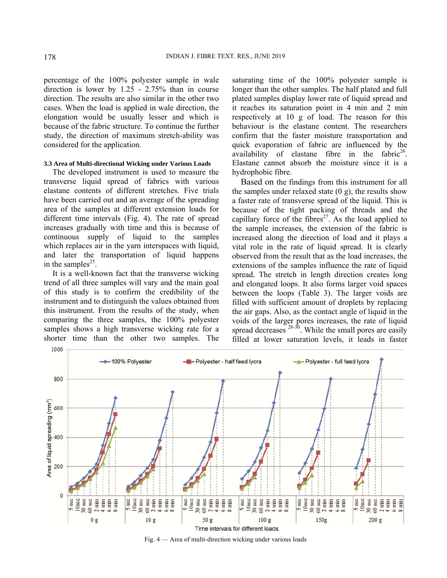percentage of the 100% polyester sample in wale direction is lower by 1.25 - 2.75% than in course direction. The results are also similar in the other two cases. When the load is applied in wale direction, the elongation would be usually lesser and which is because of the fabric structure. To continue the further study, the direction of maximum stretch-ability was considered for the application.

#### **3.3 Area of Multi-directional Wicking under Various Loads**

The developed instrument is used to measure the transverse liquid spread of fabrics with various elastane contents of different stretches. Five trials have been carried out and an average of the spreading area of the samples at different extension loads for different time intervals (Fig. 4). The rate of spread increases gradually with time and this is because of continuous supply of liquid to the samples which replaces air in the yarn interspaces with liquid, and later the transportation of liquid happens in the samples<sup>25</sup>.

It is a well-known fact that the transverse wicking trend of all three samples will vary and the main goal of this study is to confirm the credibility of the instrument and to distinguish the values obtained from this instrument. From the results of the study, when comparing the three samples, the 100% polyester samples shows a high transverse wicking rate for a shorter time than the other two samples. The

saturating time of the 100% polyester sample is longer than the other samples. The half plated and full plated samples display lower rate of liquid spread and it reaches its saturation point in 4 min and 2 min respectively at 10 g of load. The reason for this behaviour is the elastane content. The researchers confirm that the faster moisture transportation and quick evaporation of fabric are influenced by the availability of elastane fibre in the fabric<sup>26</sup>. Elastane cannot absorb the moisture since it is a hydrophobic fibre.

Based on the findings from this instrument for all the samples under relaxed state  $(0 \text{ g})$ , the results show a faster rate of transverse spread of the liquid. This is because of the tight packing of threads and the capillary force of the fibres<sup>27</sup>. As the load applied to the sample increases, the extension of the fabric is increased along the direction of load and it plays a vital role in the rate of liquid spread. It is clearly observed from the result that as the load increases, the extensions of the samples influence the rate of liquid spread. The stretch in length direction creates long and elongated loops. It also forms larger void spaces between the loops (Table 3). The larger voids are filled with sufficient amount of droplets by replacing the air gaps. Also, as the contact angle of liquid in the voids of the larger pores increases, the rate of liquid spread decreases  $28-30$ . While the small pores are easily filled at lower saturation levels, it leads in faster



Fig. 4 — Area of multi-direction wicking under various loads